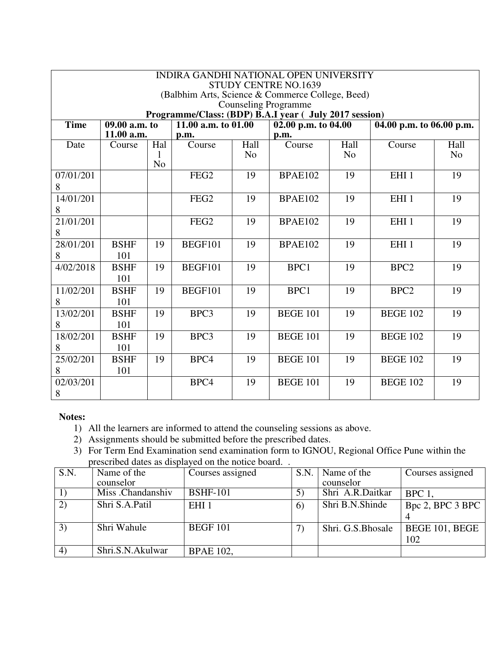|             |               |                | <b>INDIRA GANDHI NATIONAL OPEN UNIVERSITY</b>          |                |                             |                |                          |                |
|-------------|---------------|----------------|--------------------------------------------------------|----------------|-----------------------------|----------------|--------------------------|----------------|
|             |               |                | (Balbhim Arts, Science & Commerce College, Beed)       |                | <b>STUDY CENTRE NO.1639</b> |                |                          |                |
|             |               |                |                                                        |                | <b>Counseling Programme</b> |                |                          |                |
|             |               |                | Programme/Class: (BDP) B.A.I year ( July 2017 session) |                |                             |                |                          |                |
| <b>Time</b> | 09.00 a.m. to |                | 11.00 a.m. to 01.00                                    |                | 02.00 p.m. to 04.00         |                | 04.00 p.m. to 06.00 p.m. |                |
|             | 11.00 a.m.    |                | p.m.                                                   |                | p.m.                        |                |                          |                |
| Date        | Course        | Hal            | Course                                                 | Hall           | Course                      | Hall           | Course                   | Hall           |
|             |               | $\mathbf{I}$   |                                                        | N <sub>o</sub> |                             | N <sub>o</sub> |                          | N <sub>o</sub> |
|             |               | N <sub>o</sub> |                                                        |                |                             |                |                          |                |
| 07/01/201   |               |                | FEG <sub>2</sub>                                       | 19             | <b>BPAE102</b>              | 19             | EHI <sub>1</sub>         | 19             |
| 8           |               |                |                                                        |                |                             |                |                          |                |
| 14/01/201   |               |                | FEG <sub>2</sub>                                       | 19             | <b>BPAE102</b>              | 19             | EHI <sub>1</sub>         | 19             |
| 8           |               |                |                                                        |                |                             |                |                          |                |
| 21/01/201   |               |                | FEG <sub>2</sub>                                       | 19             | <b>BPAE102</b>              | 19             | EHI <sub>1</sub>         | 19             |
| 8           |               |                |                                                        |                |                             |                |                          |                |
| 28/01/201   | <b>BSHF</b>   | 19             | <b>BEGF101</b>                                         | 19             | <b>BPAE102</b>              | 19             | EHI <sub>1</sub>         | 19             |
| 8           | 101           |                |                                                        |                |                             |                |                          |                |
| 4/02/2018   | <b>BSHF</b>   | 19             | <b>BEGF101</b>                                         | 19             | BPC1                        | 19             | BPC <sub>2</sub>         | 19             |
|             | 101           |                |                                                        |                |                             |                |                          |                |
| 11/02/201   | <b>BSHF</b>   | 19             | <b>BEGF101</b>                                         | 19             | BPC1                        | 19             | BPC <sub>2</sub>         | 19             |
| 8           | 101           |                |                                                        |                |                             |                |                          |                |
| 13/02/201   | <b>BSHF</b>   | 19             | BPC3                                                   | 19             | <b>BEGE 101</b>             | 19             | <b>BEGE 102</b>          | 19             |
| 8           | 101           |                |                                                        |                |                             |                |                          |                |
| 18/02/201   | <b>BSHF</b>   | 19             | BPC3                                                   | 19             | <b>BEGE 101</b>             | 19             | <b>BEGE 102</b>          | 19             |
| 8           | 101           |                |                                                        |                |                             |                |                          |                |
| 25/02/201   | <b>BSHF</b>   | 19             | BPC4                                                   | 19             | <b>BEGE 101</b>             | 19             | <b>BEGE 102</b>          | 19             |
| 8           | 101           |                |                                                        |                |                             |                |                          |                |
| 02/03/201   |               |                | BPC4                                                   | 19             | <b>BEGE 101</b>             | 19             | <b>BEGE 102</b>          | 19             |
| 8           |               |                |                                                        |                |                             |                |                          |                |

- 1) All the learners are informed to attend the counseling sessions as above.
- 2) Assignments should be submitted before the prescribed dates.
- 3) For Term End Examination send examination form to IGNOU, Regional Office Pune within the prescribed dates as displayed on the notice board. .

| S.N.             | Name of the       | Courses assigned | S.N.       | Name of the        | Courses assigned |
|------------------|-------------------|------------------|------------|--------------------|------------------|
|                  | counselor         |                  |            | counselor          |                  |
|                  | Miss .Chandanshiv | <b>BSHF-101</b>  |            | Shri A.R.Daitkar   | BPC 1            |
| 2)               | Shri S.A.Patil    | EHI <sub>1</sub> | $\epsilon$ | Shri B.N.Shinde    | Bpc 2, BPC 3 BPC |
|                  |                   |                  |            |                    |                  |
| 3)               | Shri Wahule       | <b>BEGF 101</b>  |            | Shri. G.S. Bhosale | BEGE 101, BEGE   |
|                  |                   |                  |            |                    | 102              |
| $\left(4\right)$ | Shri.S.N.Akulwar  | <b>BPAE 102,</b> |            |                    |                  |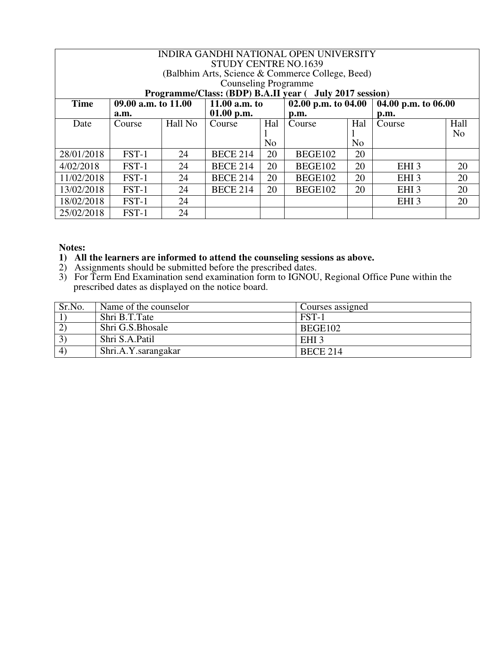|             |                     |         |                             |     | INDIRA GANDHI NATIONAL OPEN UNIVERSITY                  |                |                     |                |
|-------------|---------------------|---------|-----------------------------|-----|---------------------------------------------------------|----------------|---------------------|----------------|
|             |                     |         | <b>STUDY CENTRE NO.1639</b> |     |                                                         |                |                     |                |
|             |                     |         |                             |     | (Balbhim Arts, Science & Commerce College, Beed)        |                |                     |                |
|             |                     |         | <b>Counseling Programme</b> |     |                                                         |                |                     |                |
|             |                     |         |                             |     | Programme/Class: (BDP) B.A.II year ( July 2017 session) |                |                     |                |
| <b>Time</b> | 09.00 a.m. to 11.00 |         | 11.00 $a.m.$ to             |     | 02.00 p.m. to $04.00$                                   |                | 04.00 p.m. to 06.00 |                |
|             | a.m.                |         | $01.00$ p.m.                |     | $\mathbf{p}.\mathbf{m}$ .                               |                | p.m.                |                |
| Date        | Course              | Hall No | Course                      | Hal | Course                                                  | Hal            | Course              | Hall           |
|             |                     |         |                             |     |                                                         |                |                     | N <sub>0</sub> |
|             |                     |         |                             | No  |                                                         | N <sub>o</sub> |                     |                |
| 28/01/2018  | FST-1               | 24      | <b>BECE 214</b>             | 20  | BEGE102                                                 | 20             |                     |                |
| 4/02/2018   | $FST-1$             | 24      | <b>BECE 214</b>             | 20  | BEGE102                                                 | 20             | EHI <sub>3</sub>    | 20             |
| 11/02/2018  | FST-1               | 24      | <b>BECE 214</b>             | 20  | BEGE102                                                 | 20             | EHI <sub>3</sub>    | 20             |
| 13/02/2018  | FST-1               | 24      | <b>BECE 214</b>             | 20  | BEGE102                                                 | 20             | EHI <sub>3</sub>    | 20             |
| 18/02/2018  | FST-1               | 24      |                             |     |                                                         |                | EHI <sub>3</sub>    | 20             |
| 25/02/2018  | FST-1               | 24      |                             |     |                                                         |                |                     |                |

### **1) All the learners are informed to attend the counseling sessions as above.**

- 2) Assignments should be submitted before the prescribed dates.
- 3) For Term End Examination send examination form to IGNOU, Regional Office Pune within the prescribed dates as displayed on the notice board.

| Sr.No.                 | Name of the counselor | Courses assigned |
|------------------------|-----------------------|------------------|
|                        | Shri B.T.Tate         | FST-1            |
| $\left( 2\right)$      | Shri G.S.Bhosale      | BEGE102          |
| $\left 3\right\rangle$ | Shri S.A.Patil        | EHI <sub>3</sub> |
| 4)                     | Shri.A.Y.sarangakar   | <b>BECE 214</b>  |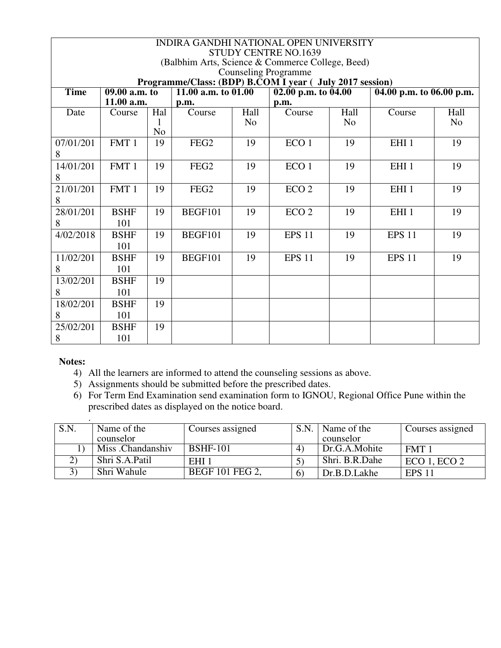|             |                            |                | INDIRA GANDHI NATIONAL OPEN UNIVERSITY                   |                | <b>STUDY CENTRE NO.1639</b>      |                |                                         |                |
|-------------|----------------------------|----------------|----------------------------------------------------------|----------------|----------------------------------|----------------|-----------------------------------------|----------------|
|             |                            |                | (Balbhim Arts, Science & Commerce College, Beed)         |                |                                  |                |                                         |                |
|             |                            |                |                                                          |                | <b>Counseling Programme</b>      |                |                                         |                |
|             |                            |                | Programme/Class: (BDP) B.COM I year ( July 2017 session) |                |                                  |                |                                         |                |
| <b>Time</b> | $\overline{09.00}$ a.m. to |                | $\overline{11.00}$ a.m. to 01.00                         |                | $\overline{02.00}$ p.m. to 04.00 |                | $\overline{04.00}$ p.m. to $06.00$ p.m. |                |
|             | 11.00 a.m.                 |                | p.m.                                                     |                | p.m.                             |                |                                         |                |
| Date        | Course                     | Hal            | Course                                                   | Hall           | Course                           | Hall           | Course                                  | Hall           |
|             |                            |                |                                                          | N <sub>0</sub> |                                  | N <sub>o</sub> |                                         | N <sub>o</sub> |
|             |                            | N <sub>o</sub> |                                                          |                |                                  |                |                                         |                |
| 07/01/201   | FMT 1                      | 19             | FEG <sub>2</sub>                                         | 19             | ECO <sub>1</sub>                 | 19             | EHI <sub>1</sub>                        | 19             |
| 8           |                            |                |                                                          |                |                                  |                |                                         |                |
| 14/01/201   | FMT 1                      | 19             | FEG <sub>2</sub>                                         | 19             | ECO <sub>1</sub>                 | 19             | EHI <sub>1</sub>                        | 19             |
| 8           |                            |                |                                                          |                |                                  |                |                                         |                |
| 21/01/201   | FMT 1                      | 19             | FEG <sub>2</sub>                                         | 19             | ECO <sub>2</sub>                 | 19             | EHI <sub>1</sub>                        | 19             |
| 8           |                            |                |                                                          |                |                                  |                |                                         |                |
| 28/01/201   | <b>BSHF</b>                | 19             | BEGF101                                                  | 19             | ECO <sub>2</sub>                 | 19             | EHI <sub>1</sub>                        | 19             |
| 8           | 101                        |                |                                                          |                |                                  |                |                                         |                |
| 4/02/2018   | <b>BSHF</b>                | 19             | <b>BEGF101</b>                                           | 19             | <b>EPS 11</b>                    | 19             | <b>EPS 11</b>                           | 19             |
|             | 101                        |                |                                                          |                |                                  |                |                                         |                |
| 11/02/201   | <b>BSHF</b>                | 19             | BEGF101                                                  | 19             | <b>EPS 11</b>                    | 19             | <b>EPS 11</b>                           | 19             |
| 8           | 101                        |                |                                                          |                |                                  |                |                                         |                |
| 13/02/201   | <b>BSHF</b>                | 19             |                                                          |                |                                  |                |                                         |                |
| 8           | 101                        |                |                                                          |                |                                  |                |                                         |                |
| 18/02/201   | <b>BSHF</b>                | 19             |                                                          |                |                                  |                |                                         |                |
| 8           | 101                        |                |                                                          |                |                                  |                |                                         |                |
| 25/02/201   | <b>BSHF</b>                | 19             |                                                          |                |                                  |                |                                         |                |
| 8           | 101                        |                |                                                          |                |                                  |                |                                         |                |

- 4) All the learners are informed to attend the counseling sessions as above.
- 5) Assignments should be submitted before the prescribed dates.
- 6) For Term End Examination send examination form to IGNOU, Regional Office Pune within the prescribed dates as displayed on the notice board.

| S.N. | Name of the       | Courses assigned       | S.N | Name of the    | Courses assigned |
|------|-------------------|------------------------|-----|----------------|------------------|
|      | counselor         |                        |     | counselor      |                  |
|      | Miss .Chandanshiv | <b>BSHF-101</b>        | 4   | Dr.G.A.Mohite  | FMT <sub>1</sub> |
|      | Shri S.A.Patil    | EHI <sub>1</sub>       |     | Shri. B.R.Dahe | $ECO$ 1, $ECO$ 2 |
|      | Shri Wahule       | <b>BEGF 101 FEG 2,</b> | 6   | Dr.B.D.Lakhe   | <b>EPS 11</b>    |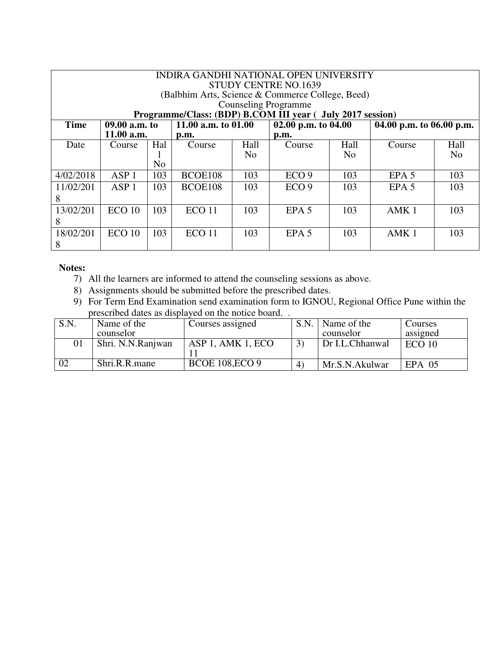|             | INDIRA GANDHI NATIONAL OPEN UNIVERSITY<br><b>STUDY CENTRE NO.1639</b><br>(Balbhim Arts, Science & Commerce College, Beed)<br><b>Counseling Programme</b><br>Programme/Class: (BDP) B.COM III year ( July 2017 session) |                |                     |                |                       |      |                          |                |  |  |
|-------------|------------------------------------------------------------------------------------------------------------------------------------------------------------------------------------------------------------------------|----------------|---------------------|----------------|-----------------------|------|--------------------------|----------------|--|--|
| <b>Time</b> | $09.00$ a.m. to                                                                                                                                                                                                        |                | 11.00 a.m. to 01.00 |                | 02.00 p.m. to $04.00$ |      | 04.00 p.m. to 06.00 p.m. |                |  |  |
|             | 11.00 a.m.                                                                                                                                                                                                             |                | p.m.                |                | p.m.                  |      |                          |                |  |  |
| Date        | Course                                                                                                                                                                                                                 | Hal            | Course              | Hall           | Course                | Hall | Course                   | Hall           |  |  |
|             |                                                                                                                                                                                                                        |                |                     | N <sub>o</sub> |                       | No   |                          | N <sub>0</sub> |  |  |
|             |                                                                                                                                                                                                                        | N <sub>o</sub> |                     |                |                       |      |                          |                |  |  |
| 4/02/2018   | ASP <sub>1</sub>                                                                                                                                                                                                       | 103            | BCOE108             | 103            | ECO <sub>9</sub>      | 103  | EPA <sub>5</sub>         | 103            |  |  |
| 11/02/201   | ASP <sub>1</sub>                                                                                                                                                                                                       | 103            | BCOE108             | 103            | ECO <sub>9</sub>      | 103  | EPA <sub>5</sub>         | 103            |  |  |
| 8           |                                                                                                                                                                                                                        |                |                     |                |                       |      |                          |                |  |  |
| 13/02/201   | ECO <sub>10</sub>                                                                                                                                                                                                      | 103            | ECO <sub>11</sub>   | 103            | EPA <sub>5</sub>      | 103  | AMK <sub>1</sub>         | 103            |  |  |
| 8           |                                                                                                                                                                                                                        |                |                     |                |                       |      |                          |                |  |  |
| 18/02/201   | ECO <sub>10</sub>                                                                                                                                                                                                      | 103            | ECO <sub>11</sub>   | 103            | EPA <sub>5</sub>      | 103  | AMK <sub>1</sub>         | 103            |  |  |
| 8           |                                                                                                                                                                                                                        |                |                     |                |                       |      |                          |                |  |  |

- 7) All the learners are informed to attend the counseling sessions as above.
- 8) Assignments should be submitted before the prescribed dates.
- 9) For Term End Examination send examination form to IGNOU, Regional Office Pune within the prescribed dates as displayed on the notice board. .

| S.N | Name of the       | Courses assigned       | S.N.              | Name of the     | Courses           |
|-----|-------------------|------------------------|-------------------|-----------------|-------------------|
|     | counselor         |                        |                   | counselor       | assigned          |
| 01  | Shri. N.N.Ranjwan | ASP 1, AMK 1, ECO      |                   | Dr I.L.Chhanwal | ECO <sub>10</sub> |
|     |                   |                        |                   |                 |                   |
|     | Shri.R.R.mane     | <b>BCOE 108, ECO 9</b> | $\left( 4\right)$ | Mr.S.N.Akulwar  | $EPA$ 05          |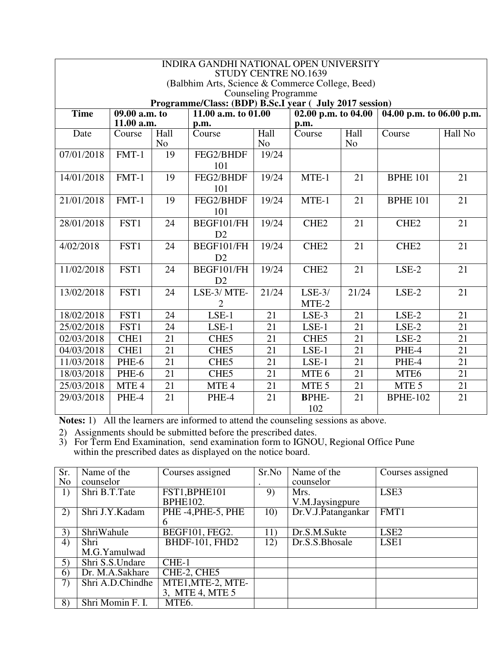|             |                            |                        | <b>INDIRA GANDHI NATIONAL OPEN UNIVERSITY</b>           |                             |                             |                        |                          |         |
|-------------|----------------------------|------------------------|---------------------------------------------------------|-----------------------------|-----------------------------|------------------------|--------------------------|---------|
|             |                            |                        | (Balbhim Arts, Science & Commerce College, Beed)        |                             | <b>STUDY CENTRE NO.1639</b> |                        |                          |         |
|             |                            |                        |                                                         | <b>Counseling Programme</b> |                             |                        |                          |         |
|             |                            |                        | Programme/Class: (BDP) B.Sc.I year ( July 2017 session) |                             |                             |                        |                          |         |
| <b>Time</b> | $\overline{09.00}$ a.m. to |                        | 11.00 a.m. to 01.00                                     |                             | 02.00 p.m. to $04.00$       |                        | 04.00 p.m. to 06.00 p.m. |         |
|             | 11.00 a.m.                 |                        | p.m.                                                    |                             | p.m.                        |                        |                          |         |
| Date        | Course                     | Hall<br>N <sub>o</sub> | Course                                                  | Hall<br>N <sub>o</sub>      | Course                      | Hall<br>N <sub>o</sub> | Course                   | Hall No |
| 07/01/2018  | $FMT-1$                    | 19                     | FEG2/BHDF                                               | 19/24                       |                             |                        |                          |         |
|             |                            |                        | 101                                                     |                             |                             |                        |                          |         |
| 14/01/2018  | $FMT-1$                    | 19                     | FEG2/BHDF                                               | 19/24                       | MTE-1                       | 21                     | <b>BPHE 101</b>          | 21      |
|             |                            |                        | 101                                                     |                             |                             |                        |                          |         |
| 21/01/2018  | $FMT-1$                    | 19                     | FEG2/BHDF                                               | 19/24                       | MTE-1                       | 21                     | <b>BPHE 101</b>          | 21      |
|             |                            |                        | 101                                                     |                             |                             |                        |                          |         |
| 28/01/2018  | FST1                       | 24                     | BEGF101/FH                                              | 19/24                       | CHE <sub>2</sub>            | 21                     | CHE <sub>2</sub>         | 21      |
|             |                            |                        | D2                                                      |                             |                             |                        |                          |         |
| 4/02/2018   | FST1                       | 24                     | BEGF101/FH                                              | 19/24                       | CHE <sub>2</sub>            | 21                     | CHE <sub>2</sub>         | 21      |
|             |                            |                        | D2                                                      |                             |                             |                        |                          |         |
| 11/02/2018  | FST1                       | 24                     | BEGF101/FH                                              | 19/24                       | CHE <sub>2</sub>            | 21                     | $LSE-2$                  | 21      |
|             |                            |                        | D2                                                      |                             |                             |                        |                          |         |
| 13/02/2018  | FST1                       | 24                     | LSE-3/MTE-                                              | 21/24                       | $LSE-3/$                    | 21/24                  | $LSE-2$                  | 21      |
|             |                            |                        | $\overline{2}$                                          |                             | MTE-2                       |                        |                          |         |
| 18/02/2018  | FST1                       | 24                     | $LSE-1$                                                 | 21                          | LSE-3                       | 21                     | $LSE-2$                  | 21      |
| 25/02/2018  | FST1                       | 24                     | $LSE-1$                                                 | 21                          | $LSE-1$                     | 21                     | $LSE-2$                  | 21      |
| 02/03/2018  | CHE1                       | 21                     | CHE5                                                    | 21                          | CHE <sub>5</sub>            | 21                     | $LSE-2$                  | 21      |
| 04/03/2018  | CHE1                       | 21                     | CHE <sub>5</sub>                                        | 21                          | $LSE-1$                     | 21                     | PHE-4                    | 21      |
| 11/03/2018  | PHE-6                      | 21                     | CHE <sub>5</sub>                                        | 21                          | $LSE-1$                     | 21                     | PHE-4                    | 21      |
| 18/03/2018  | PHE-6                      | 21                     | CHE <sub>5</sub>                                        | 21                          | MTE 6                       | 21                     | MTE <sub>6</sub>         | 21      |
| 25/03/2018  | MTE <sub>4</sub>           | 21                     | MTE 4                                                   | 21                          | MTE <sub>5</sub>            | 21                     | MTE <sub>5</sub>         | 21      |
| 29/03/2018  | PHE-4                      | 21                     | PHE-4                                                   | 21                          | <b>BPHE-</b>                | 21                     | <b>BPHE-102</b>          | 21      |
|             |                            |                        |                                                         |                             | 102                         |                        |                          |         |

**Notes:** 1) All the learners are informed to attend the counseling sessions as above.

2) Assignments should be submitted before the prescribed dates.

| Sr.            | Name of the      | Courses assigned  | Sr.No | Name of the        | Courses assigned |
|----------------|------------------|-------------------|-------|--------------------|------------------|
| N <sub>0</sub> | counselor        |                   |       | counselor          |                  |
| 1)             | Shri B.T.Tate    | FST1, BPHE101     | 9)    | Mrs.               | LSE3             |
|                |                  | <b>BPHE102.</b>   |       | V.M.Jaysingpure    |                  |
| 2)             | Shri J.Y.Kadam   | PHE-4, PHE-5, PHE | 10)   | Dr.V.J.Patangankar | FMT1             |
|                |                  | 6                 |       |                    |                  |
| 3)             | ShriWahule       | BEGF101, FEG2.    | 11)   | Dr.S.M.Sukte       | LSE <sub>2</sub> |
| 4)             | Shri             | BHDF-101, FHD2    | 12)   | Dr.S.S.Bhosale     | LSE <sub>1</sub> |
|                | M.G.Yamulwad     |                   |       |                    |                  |
| 5)             | Shri S.S.Undare  | CHE-1             |       |                    |                  |
| 6)             | Dr. M.A.Sakhare  | CHE-2, CHE5       |       |                    |                  |
| 7)             | Shri A.D.Chindhe | MTE1, MTE-2, MTE- |       |                    |                  |
|                |                  | 3, MTE 4, MTE 5   |       |                    |                  |
| 8)             | Shri Momin F. I. | MTE6.             |       |                    |                  |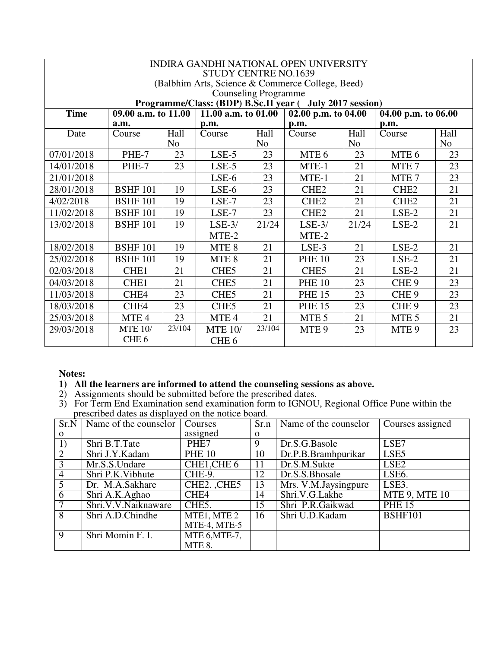|             |                                                                                  |                | <b>STUDY CENTRE NO.1639</b> |                | INDIRA GANDHI NATIONAL OPEN UNIVERSITY                   |                |                               |                |
|-------------|----------------------------------------------------------------------------------|----------------|-----------------------------|----------------|----------------------------------------------------------|----------------|-------------------------------|----------------|
|             |                                                                                  |                |                             |                | (Balbhim Arts, Science & Commerce College, Beed)         |                |                               |                |
|             |                                                                                  |                | <b>Counseling Programme</b> |                |                                                          |                |                               |                |
|             |                                                                                  |                |                             |                | Programme/Class: (BDP) B.Sc.II year ( July 2017 session) |                |                               |                |
| <b>Time</b> | 09.00 a.m. to 11.00<br>11.00 a.m. to $01.00$<br>$\overline{02.00}$ p.m. to 04.00 |                |                             |                | 04.00 p.m. to 06.00                                      |                |                               |                |
|             | a.m.                                                                             |                | p.m.                        |                | p.m.                                                     |                | p.m.                          |                |
| Date        | Course                                                                           | Hall           | Course                      | Hall           | Course                                                   | Hall           | $\overline{\mathrm{C}}$ ourse | Hall           |
|             |                                                                                  | N <sub>0</sub> |                             | N <sub>0</sub> |                                                          | N <sub>0</sub> |                               | N <sub>o</sub> |
| 07/01/2018  | PHE-7                                                                            | 23             | $LSE-5$                     | 23             | MTE <sub>6</sub>                                         | 23             | MTE <sub>6</sub>              | 23             |
| 14/01/2018  | PHE-7                                                                            | 23             | $LSE-5$                     | 23             | MTE-1                                                    | 21             | MTE <sub>7</sub>              | 23             |
| 21/01/2018  |                                                                                  |                | LSE-6                       | 23             | MTE-1                                                    | 21             | MTE <sub>7</sub>              | 23             |
| 28/01/2018  | <b>BSHF 101</b>                                                                  | 19             | LSE-6                       | 23             | CHE <sub>2</sub>                                         | 21             | CHE <sub>2</sub>              | 21             |
| 4/02/2018   | <b>BSHF 101</b>                                                                  | 19             | LSE-7                       | 23             | CHE <sub>2</sub>                                         | 21             | CHE <sub>2</sub>              | 21             |
| 11/02/2018  | <b>BSHF 101</b>                                                                  | 19             | LSE-7                       | 23             | CHE <sub>2</sub>                                         | 21             | $LSE-2$                       | 21             |
| 13/02/2018  | <b>BSHF 101</b>                                                                  | 19             | $LSE-3/$                    | 21/24          | $LSE-3/$                                                 | 21/24          | $LSE-2$                       | 21             |
|             |                                                                                  |                | MTE-2                       |                | MTE-2                                                    |                |                               |                |
| 18/02/2018  | <b>BSHF 101</b>                                                                  | 19             | MTE 8                       | 21             | $LSE-3$                                                  | 21             | $LSE-2$                       | 21             |
| 25/02/2018  | <b>BSHF 101</b>                                                                  | 19             | MTE 8                       | 21             | <b>PHE 10</b>                                            | 23             | $LSE-2$                       | 21             |
| 02/03/2018  | CHE <sub>1</sub>                                                                 | 21             | CHE <sub>5</sub>            | 21             | CHE <sub>5</sub>                                         | 21             | $LSE-2$                       | 21             |
| 04/03/2018  | CHE <sub>1</sub>                                                                 | 21             | CHE <sub>5</sub>            | 21             | <b>PHE 10</b>                                            | 23             | CHE <sub>9</sub>              | 23             |
| 11/03/2018  | CHE4                                                                             | 23             | CHE <sub>5</sub>            | 21             | <b>PHE 15</b>                                            | 23             | CHE <sub>9</sub>              | 23             |
| 18/03/2018  | CHE4                                                                             | 23             | CHE <sub>5</sub>            | 21             | <b>PHE 15</b>                                            | 23             | CHE <sub>9</sub>              | 23             |
| 25/03/2018  | MTE 4                                                                            | 23             | MTE <sub>4</sub>            | 21             | MTE <sub>5</sub>                                         | 21             | MTE <sub>5</sub>              | 21             |
| 29/03/2018  | <b>MTE 10/</b>                                                                   | 23/104         | <b>MTE 10/</b>              | 23/104         | MTE <sub>9</sub>                                         | 23             | MTE <sub>9</sub>              | 23             |
|             | CHE <sub>6</sub>                                                                 |                | CHE <sub>6</sub>            |                |                                                          |                |                               |                |

### **1) All the learners are informed to attend the counseling sessions as above.**

- 2) Assignments should be submitted before the prescribed dates.
- 3) For Term End Examination send examination form to IGNOU, Regional Office Pune within the prescribed dates as displayed on the notice board.

| Sr.N           | Name of the counselor | Courses            |          | $Sr.n$ Name of the counselor | Courses assigned     |
|----------------|-----------------------|--------------------|----------|------------------------------|----------------------|
| $\Omega$       |                       | assigned           | $\Omega$ |                              |                      |
| 1)             | Shri B.T.Tate         | PHE7               | 9        | Dr.S.G.Basole                | LSE7                 |
| $\overline{2}$ | Shri J.Y.Kadam        | <b>PHE 10</b>      | 10       | Dr.P.B.Bramhpurikar          | LSE <sub>5</sub>     |
| 3              | Mr.S.S.Undare         | CHE1, CHE 6        | 11       | Dr.S.M.Sukte                 | LSE <sub>2</sub>     |
| $\overline{4}$ | Shri P.K. Vibhute     | CHE-9.             | 12       | Dr.S.S.Bhosale               | LSE6.                |
| 5              | Dr. M.A.Sakhare       | CHE2. CHE5         | 13       | Mrs. V.M. Jaysingpure        | LSE3.                |
| 6              | Shri A.K.Aghao        | CHE4               | 14       | Shri.V.G.Lakhe               | <b>MTE 9, MTE 10</b> |
|                | Shri.V.V.Naiknaware   | CHE <sub>5</sub> . | 15       | Shri P.R.Gaikwad             | <b>PHE 15</b>        |
| 8              | Shri A.D.Chindhe      | MTE1, MTE 2        | 16       | Shri U.D.Kadam               | <b>BSHF101</b>       |
|                |                       | MTE-4, MTE-5       |          |                              |                      |
| 9              | Shri Momin F. I.      | MTE 6, MTE-7,      |          |                              |                      |
|                |                       | MTE 8.             |          |                              |                      |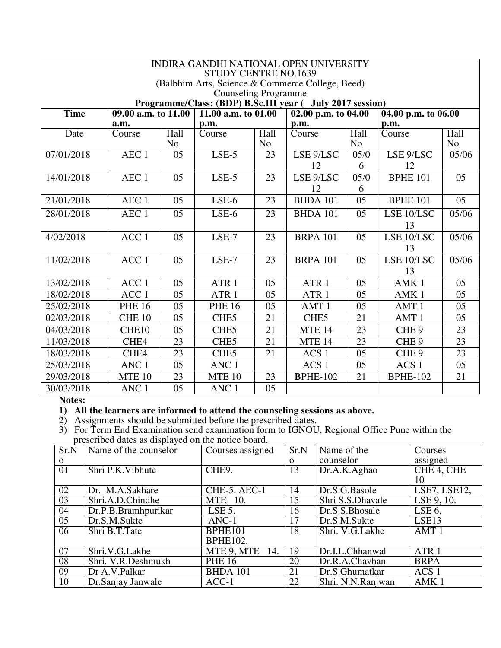|             | INDIRA GANDHI NATIONAL OPEN UNIVERSITY<br><b>STUDY CENTRE NO.1639</b> |                               |                             |                        |                                                           |                        |                         |                        |
|-------------|-----------------------------------------------------------------------|-------------------------------|-----------------------------|------------------------|-----------------------------------------------------------|------------------------|-------------------------|------------------------|
|             | (Balbhim Arts, Science & Commerce College, Beed)                      |                               |                             |                        |                                                           |                        |                         |                        |
|             |                                                                       |                               | <b>Counseling Programme</b> |                        |                                                           |                        |                         |                        |
|             |                                                                       |                               |                             |                        | Programme/Class: (BDP) B.Sc.III year ( July 2017 session) |                        |                         |                        |
| <b>Time</b> | 09.00 a.m. to 11.00                                                   |                               | 11.00 a.m. to $01.00$       |                        | $02.00$ p.m. to $04.00$                                   |                        | $04.00$ p.m. to $06.00$ |                        |
|             | a.m.                                                                  |                               | p.m.                        |                        | p.m.                                                      |                        | p.m.                    |                        |
| Date        | Course                                                                | <b>Hall</b><br>N <sub>o</sub> | Course                      | Hall<br>N <sub>o</sub> | Course                                                    | Hall<br>N <sub>o</sub> | Course                  | Hall<br>N <sub>o</sub> |
| 07/01/2018  | AEC <sub>1</sub>                                                      | 05                            | $LSE-5$                     | 23                     | LSE 9/LSC                                                 | 05/0                   | LSE 9/LSC               | 05/06                  |
|             |                                                                       |                               |                             |                        | 12                                                        | 6                      | 12                      |                        |
| 14/01/2018  | AEC <sub>1</sub>                                                      | 05                            | $LSE-5$                     | 23                     | LSE 9/LSC                                                 | 05/0                   | <b>BPHE 101</b>         | 05                     |
|             |                                                                       |                               |                             |                        | 12                                                        | 6                      |                         |                        |
| 21/01/2018  | AEC <sub>1</sub>                                                      | 05                            | $LSE-6$                     | 23                     | <b>BHDA 101</b>                                           | 05                     | <b>BPHE 101</b>         | 05                     |
| 28/01/2018  | AEC <sub>1</sub>                                                      | 05                            | $LSE-6$                     | 23                     | <b>BHDA 101</b>                                           | 05                     | LSE 10/LSC              | 05/06                  |
|             |                                                                       |                               |                             |                        |                                                           |                        | 13                      |                        |
| 4/02/2018   | ACC <sub>1</sub>                                                      | 05                            | $LSE-7$                     | 23                     | <b>BRPA 101</b>                                           | 05                     | LSE 10/LSC              | 05/06                  |
|             |                                                                       |                               |                             |                        |                                                           |                        | 13                      |                        |
| 11/02/2018  | ACC <sub>1</sub>                                                      | 05                            | $LSE-7$                     | 23                     | <b>BRPA 101</b>                                           | 05                     | LSE 10/LSC              | 05/06                  |
|             |                                                                       |                               |                             |                        |                                                           |                        | 13                      |                        |
| 13/02/2018  | ACC <sub>1</sub>                                                      | 05                            | ATR <sub>1</sub>            | 05                     | ATR <sub>1</sub>                                          | 05                     | AMK <sub>1</sub>        | 05                     |
| 18/02/2018  | ACC <sub>1</sub>                                                      | 05                            | ATR <sub>1</sub>            | 05                     | ATR <sub>1</sub>                                          | 05                     | AMK <sub>1</sub>        | 05                     |
| 25/02/2018  | <b>PHE 16</b>                                                         | 05                            | <b>PHE 16</b>               | 05                     | AMT <sub>1</sub>                                          | 05                     | AMT <sub>1</sub>        | 05                     |
| 02/03/2018  | <b>CHE 10</b>                                                         | 05                            | CHE5                        | 21                     | CHE <sub>5</sub>                                          | 21                     | AMT <sub>1</sub>        | 05                     |
| 04/03/2018  | CHE10                                                                 | 05                            | CHE <sub>5</sub>            | 21                     | <b>MTE 14</b>                                             | 23                     | CHE <sub>9</sub>        | 23                     |
| 11/03/2018  | CHE <sub>4</sub>                                                      | 23                            | CHE <sub>5</sub>            | 21                     | <b>MTE 14</b>                                             | 23                     | CHE <sub>9</sub>        | 23                     |
| 18/03/2018  | CHE4                                                                  | 23                            | CHE5                        | 21                     | ACS <sub>1</sub>                                          | 05                     | CHE <sub>9</sub>        | 23                     |
| 25/03/2018  | ANC <sub>1</sub>                                                      | 05                            | ANC <sub>1</sub>            |                        | ACS <sub>1</sub>                                          | 05                     | ACS <sub>1</sub>        | 05                     |
| 29/03/2018  | <b>MTE 10</b>                                                         | 23                            | <b>MTE 10</b>               | 23                     | <b>BPHE-102</b>                                           | 21                     | <b>BPHE-102</b>         | 21                     |
| 30/03/2018  | ANC <sub>1</sub>                                                      | 05                            | ANC <sub>1</sub>            | 05                     |                                                           |                        |                         |                        |

#### **1) All the learners are informed to attend the counseling sessions as above.**

2) Assignments should be submitted before the prescribed dates.

| Sr.N     | Name of the counselor | Courses assigned   | Sr.N     | Name of the       | Courses                        |
|----------|-----------------------|--------------------|----------|-------------------|--------------------------------|
| $\Omega$ |                       |                    | $\Omega$ | counselor         | assigned                       |
| 01       | Shri P.K. Vibhute     | CHE <sub>9</sub> . | 13       | Dr.A.K.Aghao      | CHE 4, CHE                     |
|          |                       |                    |          |                   | 10                             |
| 02       | Dr. M.A.Sakhare       | CHE-5. AEC-1       | 14       | Dr.S.G.Basole     | LSE7, LSE12,                   |
| 03       | Shri.A.D.Chindhe      | <b>MTE</b> 10.     | 15       | Shri S.S.Dhavale  | $\overline{\text{LSE}}$ 9, 10. |
| 04       | Dr.P.B.Bramhpurikar   | LSE $5$ .          | 16       | Dr.S.S.Bhosale    | LSE <sub>6</sub>               |
| 05       | Dr.S.M.Sukte          | $ANC-1$            | 17       | Dr.S.M.Sukte      | LSE <sub>13</sub>              |
| 06       | Shri B.T.Tate         | BPHE101            | 18       | Shri. V.G.Lakhe   | AMT <sub>1</sub>               |
|          |                       | <b>BPHE102.</b>    |          |                   |                                |
| 07       | Shri.V.G.Lakhe        | MTE 9, MTE<br>14.  | 19       | Dr.I.L.Chhanwal   | ATR <sub>1</sub>               |
| 08       | Shri. V.R.Deshmukh    | <b>PHE 16</b>      | 20       | Dr.R.A.Chavhan    | <b>BRPA</b>                    |
| 09       | Dr A.V.Palkar         | <b>BHDA 101</b>    | 21       | Dr.S.Ghumatkar    | ACS <sub>1</sub>               |
| 10       | Dr.Sanjay Janwale     | $ACC-1$            | 22       | Shri. N.N.Ranjwan | AMK <sub>1</sub>               |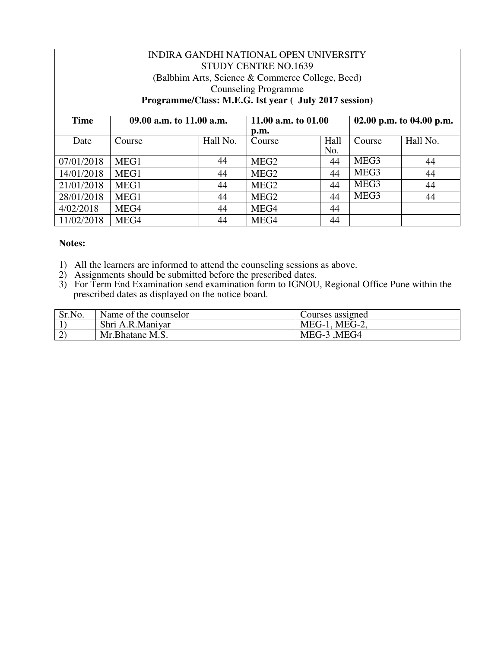| INDIRA GANDHI NATIONAL OPEN UNIVERSITY |                                                  |          |                                                       |      |                          |          |  |
|----------------------------------------|--------------------------------------------------|----------|-------------------------------------------------------|------|--------------------------|----------|--|
|                                        | <b>STUDY CENTRE NO.1639</b>                      |          |                                                       |      |                          |          |  |
|                                        | (Balbhim Arts, Science & Commerce College, Beed) |          |                                                       |      |                          |          |  |
|                                        |                                                  |          | <b>Counseling Programme</b>                           |      |                          |          |  |
|                                        |                                                  |          | Programme/Class: M.E.G. Ist year ( July 2017 session) |      |                          |          |  |
|                                        |                                                  |          |                                                       |      |                          |          |  |
| <b>Time</b>                            | 09.00 a.m. to 11.00 a.m.                         |          | 11.00 a.m. to 01.00                                   |      | 02.00 p.m. to 04.00 p.m. |          |  |
|                                        |                                                  |          | p.m.                                                  |      |                          |          |  |
| Date                                   | Course                                           | Hall No. | Course                                                | Hall | Course                   | Hall No. |  |
|                                        |                                                  |          |                                                       | No.  |                          |          |  |
| 07/01/2018                             | MEG1                                             | 44       | MEG <sub>2</sub>                                      | 44   | MEG <sub>3</sub>         | 44       |  |
| 14/01/2018                             | MEG1                                             | 44       | MEG <sub>2</sub>                                      | 44   | MEG <sub>3</sub>         | 44       |  |
| 21/01/2018                             | MEG1                                             | 44       | MEG <sub>2</sub>                                      | 44   | MEG <sub>3</sub>         | 44       |  |
| 28/01/2018                             | MEG1                                             | 44       | MEG <sub>2</sub>                                      | 44   | MEG3                     | 44       |  |
| 4/02/2018                              | MEG4                                             | 44       | MEG4                                                  | 44   |                          |          |  |
| 11/02/2018                             | MEG4                                             | 44       | MEG4                                                  | 44   |                          |          |  |

- 1) All the learners are informed to attend the counseling sessions as above.
- 2) Assignments should be submitted before the prescribed dates.
- 3) For Term End Examination send examination form to IGNOU, Regional Office Pune within the prescribed dates as displayed on the notice board.

| Sr.No. | Name of the counselor | Courses assigned |
|--------|-----------------------|------------------|
|        | Shri A.R.Maniyar      | $MEG-1$ , MEG-2, |
|        | Mr. Bhatane M.S.      | MEG-3 , MEG4     |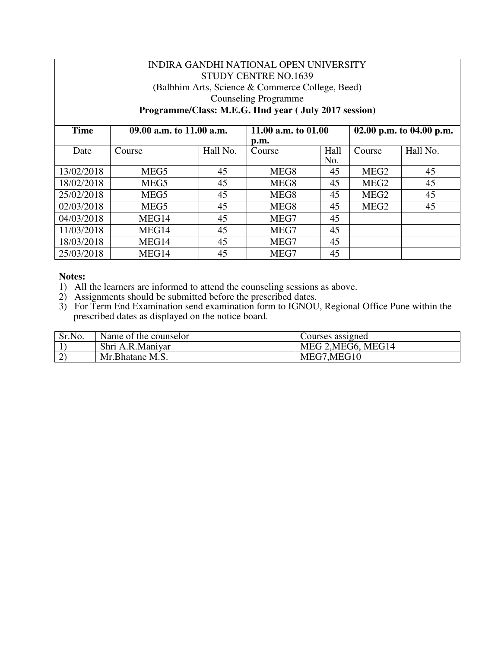# INDIRA GANDHI NATIONAL OPEN UNIVERSITY STUDY CENTRE NO.1639 (Balbhim Arts, Science & Commerce College, Beed) Counseling Programme **Programme/Class: M.E.G. IInd year ( July 2017 session)**

| <b>Time</b> | 09.00 a.m. to 11.00 a.m. |          |        | 11.00 a.m. to 01.00 |                  | 02.00 p.m. to 04.00 p.m. |  |
|-------------|--------------------------|----------|--------|---------------------|------------------|--------------------------|--|
|             |                          |          | p.m.   |                     |                  |                          |  |
| Date        | Course                   | Hall No. | Course | Hall                | Course           | Hall No.                 |  |
|             |                          |          |        | No.                 |                  |                          |  |
| 13/02/2018  | MEG5                     | 45       | MEG8   | 45                  | MEG <sub>2</sub> | 45                       |  |
| 18/02/2018  | MEG5                     | 45       | MEG8   | 45                  | MEG <sub>2</sub> | 45                       |  |
| 25/02/2018  | MEG5                     | 45       | MEG8   | 45                  | MEG <sub>2</sub> | 45                       |  |
| 02/03/2018  | MEG5                     | 45       | MEG8   | 45                  | MEG <sub>2</sub> | 45                       |  |
| 04/03/2018  | MEG14                    | 45       | MEG7   | 45                  |                  |                          |  |
| 11/03/2018  | MEG14                    | 45       | MEG7   | 45                  |                  |                          |  |
| 18/03/2018  | MEG14                    | 45       | MEG7   | 45                  |                  |                          |  |
| 25/03/2018  | MEG14                    | 45       | MEG7   | 45                  |                  |                          |  |

- 1) All the learners are informed to attend the counseling sessions as above.
- 2) Assignments should be submitted before the prescribed dates.
- 3) For Term End Examination send examination form to IGNOU, Regional Office Pune within the prescribed dates as displayed on the notice board.

| Sr.No. | Name of the counselor | Courses assigned   |
|--------|-----------------------|--------------------|
|        | Shri A.R.Maniyar      | MEG 2, MEG6, MEG14 |
|        | Mr.Bhatane M.S.       | MEG7, MEG10        |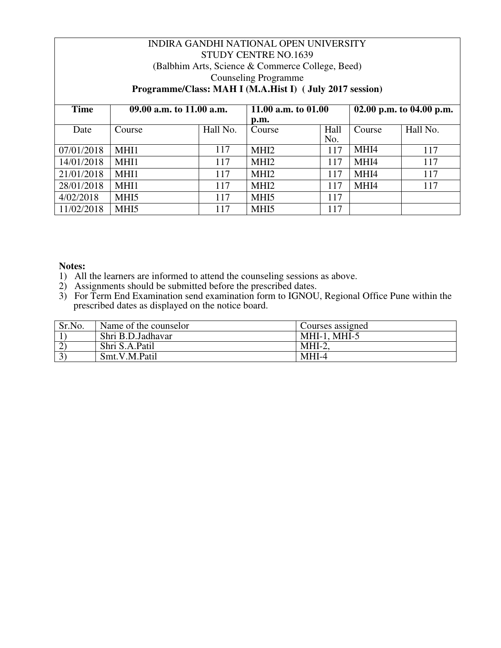| INDIRA GANDHI NATIONAL OPEN UNIVERSITY |                            |          |                                                         |      |                          |          |
|----------------------------------------|----------------------------|----------|---------------------------------------------------------|------|--------------------------|----------|
| <b>STUDY CENTRE NO.1639</b>            |                            |          |                                                         |      |                          |          |
|                                        |                            |          | (Balbhim Arts, Science & Commerce College, Beed)        |      |                          |          |
|                                        |                            |          | <b>Counseling Programme</b>                             |      |                          |          |
|                                        |                            |          | Programme/Class: MAH I (M.A.Hist I) (July 2017 session) |      |                          |          |
|                                        |                            |          |                                                         |      |                          |          |
| <b>Time</b>                            | 09.00 a.m. to $11.00$ a.m. |          | 11.00 a.m. to 01.00                                     |      | 02.00 p.m. to 04.00 p.m. |          |
|                                        |                            |          | p.m.                                                    |      |                          |          |
| Date                                   | Course                     | Hall No. | Course                                                  | Hall | Course                   | Hall No. |
|                                        |                            |          |                                                         | No.  |                          |          |
| 07/01/2018                             | MHI1                       | 117      | MHI <sub>2</sub>                                        | 117  | MHI4                     | 117      |
| 14/01/2018                             | MHI1                       | 117      | MHI <sub>2</sub>                                        | 117  | MHI4                     | 117      |
| 21/01/2018                             | MHI1                       | 117      | MHI <sub>2</sub>                                        | 117  | MHI4                     | 117      |
| 28/01/2018                             | MHI1                       | 117      | MHI <sub>2</sub>                                        | 117  | MHI4                     | 117      |
| 4/02/2018                              | MHI <sub>5</sub>           | 117      | MHI <sub>5</sub>                                        | 117  |                          |          |
| 11/02/2018                             | MHI <sub>5</sub>           | 117      | MH <sub>I5</sub>                                        | 117  |                          |          |

- 1) All the learners are informed to attend the counseling sessions as above.
- 2) Assignments should be submitted before the prescribed dates.
- 3) For Term End Examination send examination form to IGNOU, Regional Office Pune within the prescribed dates as displayed on the notice board.

| Sr.No. | Name of the counselor | Courses assigned |
|--------|-----------------------|------------------|
|        | Shri B.D.Jadhavar     | $MHI-1. MHI-5$   |
|        | Shri S.A.Patil        | $MHI-2$          |
|        | Smt.V.M.Patil         | $MHI-4$          |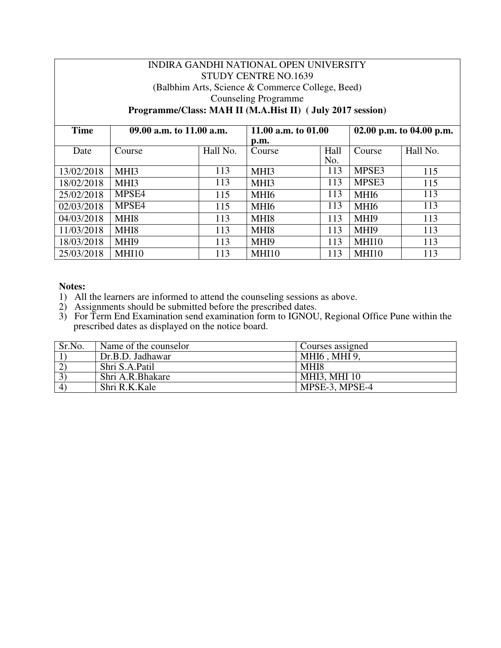# INDIRA GANDHI NATIONAL OPEN UNIVERSITY STUDY CENTRE NO.1639 (Balbhim Arts, Science & Commerce College, Beed) Counseling Programme **Programme/Class: MAH II (M.A.Hist II) ( July 2017 session)**

| <b>Time</b> | 09.00 a.m. to 11.00 a.m. |          |                  | 11.00 a.m. to $01.00$ |        | 02.00 p.m. to 04.00 p.m. |  |
|-------------|--------------------------|----------|------------------|-----------------------|--------|--------------------------|--|
|             |                          |          | p.m.             |                       |        |                          |  |
| Date        | Course                   | Hall No. | Course           | Hall                  | Course | Hall No.                 |  |
|             |                          |          |                  | No.                   |        |                          |  |
| 13/02/2018  | MHI3                     | 113      | MHI3             | 113                   | MPSE3  | 115                      |  |
| 18/02/2018  | MHI3                     | 113      | MHI3             | 113                   | MPSE3  | 115                      |  |
| 25/02/2018  | MPSE4                    | 115      | MHI6             | 113                   | MHI6   | 113                      |  |
| 02/03/2018  | MPSE4                    | 115      | MHI6             | 113                   | MHI6   | 113                      |  |
| 04/03/2018  | MHI <sub>8</sub>         | 113      | MHI8             | 113                   | MHI9   | 113                      |  |
| 11/03/2018  | MHI <sub>8</sub>         | 113      | MHI <sub>8</sub> | 113                   | MHI9   | 113                      |  |
| 18/03/2018  | MHI9                     | 113      | MHI <sub>9</sub> | 113                   | MHI10  | 113                      |  |
| 25/03/2018  | MHI <sub>10</sub>        | 113      | MHI10            | 113                   | MHI10  | 113                      |  |

- 1) All the learners are informed to attend the counseling sessions as above.
- 2) Assignments should be submitted before the prescribed dates.
- 3) For Term End Examination send examination form to IGNOU, Regional Office Pune within the prescribed dates as displayed on the notice board.

| Sr.No.   | Name of the counselor | Courses assigned            |
|----------|-----------------------|-----------------------------|
|          | Dr.B.D. Jadhawar      | <b>MHI6</b> , <b>MHI</b> 9, |
|          | Shri S.A.Patil        | MHI8                        |
|          | Shri A.R.Bhakare      | <b>MHI3, MHI 10</b>         |
| $\Delta$ | Shri R.K.Kale         | MPSE-3, MPSE-4              |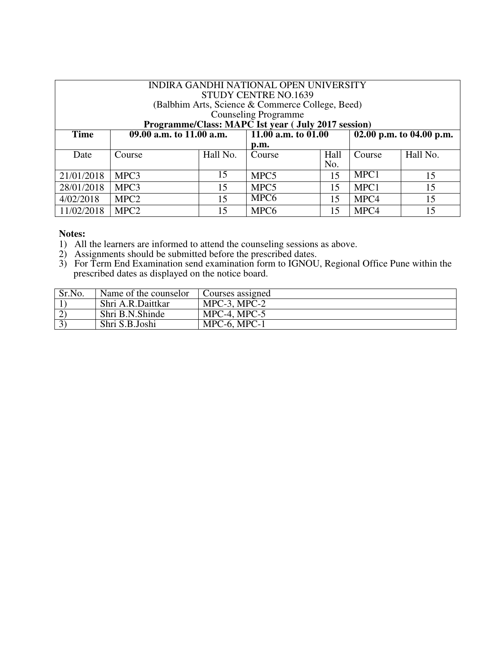| INDIRA GANDHI NATIONAL OPEN UNIVERSITY<br>STUDY CENTRE NO.1639<br>(Balbhim Arts, Science & Commerce College, Beed) |                             |          |                                                     |      |                          |          |
|--------------------------------------------------------------------------------------------------------------------|-----------------------------|----------|-----------------------------------------------------|------|--------------------------|----------|
|                                                                                                                    | <b>Counseling Programme</b> |          |                                                     |      |                          |          |
|                                                                                                                    |                             |          | Programme/Class: MAPC Ist year ( July 2017 session) |      |                          |          |
| <b>Time</b>                                                                                                        | $09.00$ a.m. to 11.00 a.m.  |          | $\overline{11.00}$ a.m. to 01.00                    |      | 02.00 p.m. to 04.00 p.m. |          |
|                                                                                                                    |                             |          | p.m.                                                |      |                          |          |
| Date                                                                                                               | Course                      | Hall No. | Course                                              | Hall | Course                   | Hall No. |
|                                                                                                                    |                             |          |                                                     | No.  |                          |          |
| 21/01/2018                                                                                                         | MPC3                        | 15       | MPC <sub>5</sub>                                    | 15   | MPC1                     | 15       |
| 28/01/2018                                                                                                         | MPC3                        | 15       | MPC <sub>5</sub>                                    | 15   | MPC1                     | 15       |
| 4/02/2018                                                                                                          | MPC <sub>2</sub>            | 15       | MPC <sub>6</sub>                                    | 15   | MPC4                     | 15       |
| 11/02/2018                                                                                                         | MPC <sub>2</sub>            | 15       | MPC <sub>6</sub>                                    | 15   | MPC4                     | 15       |

- 1) All the learners are informed to attend the counseling sessions as above.
- 2) Assignments should be submitted before the prescribed dates.
- 3) For Term End Examination send examination form to IGNOU, Regional Office Pune within the prescribed dates as displayed on the notice board.

| Sr.No. | Name of the counselor | Courses assigned  |
|--------|-----------------------|-------------------|
|        | Shri A.R.Daittkar     | $MPC-3$ , $MPC-2$ |
|        | Shri B.N.Shinde       | $MPC-4$ , $MPC-5$ |
|        | Shri S.B.Joshi        | $MPC-6$ , $MPC-1$ |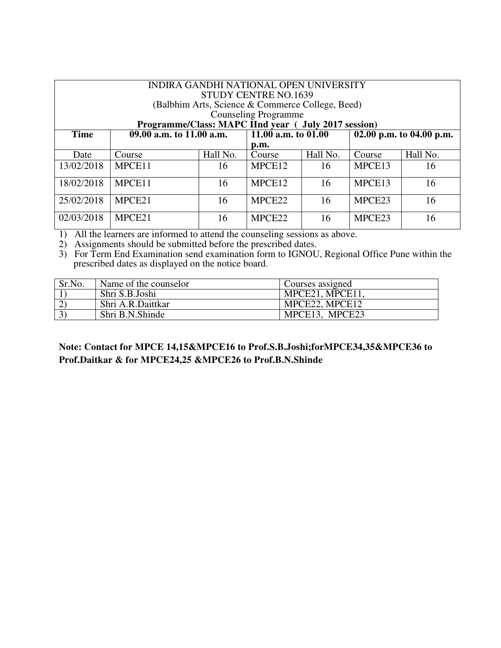| INDIRA GANDHI NATIONAL OPEN UNIVERSITY<br><b>STUDY CENTRE NO.1639</b> |                                                      |          |                             |          |                    |                          |  |  |  |  |
|-----------------------------------------------------------------------|------------------------------------------------------|----------|-----------------------------|----------|--------------------|--------------------------|--|--|--|--|
|                                                                       | (Balbhim Arts, Science & Commerce College, Beed)     |          |                             |          |                    |                          |  |  |  |  |
|                                                                       |                                                      |          | <b>Counseling Programme</b> |          |                    |                          |  |  |  |  |
|                                                                       | Programme/Class: MAPC IInd year ( July 2017 session) |          |                             |          |                    |                          |  |  |  |  |
| <b>Time</b>                                                           | $\overline{09.00}$ a.m. to 11.00 a.m.                |          | 11.00 a.m. to $01.00$       |          |                    | 02.00 p.m. to 04.00 p.m. |  |  |  |  |
|                                                                       |                                                      |          | p.m.                        |          |                    |                          |  |  |  |  |
| Date                                                                  | Course                                               | Hall No. | Course                      | Hall No. | Course             | Hall No.                 |  |  |  |  |
| 13/02/2018                                                            | MPCE11                                               | 16       | MPCE <sub>12</sub>          | 16       | MPCE13             | 16                       |  |  |  |  |
| 18/02/2018                                                            | MPCE11                                               | 16       | MPCE12                      | 16       | MPCE13             | 16                       |  |  |  |  |
| 25/02/2018                                                            | MPCE21                                               | 16       | MPCE <sub>22</sub>          | 16       | MPCE23             | 16                       |  |  |  |  |
| 02/03/2018                                                            | MPCE21                                               | 16       | MPCE <sub>22</sub>          | 16       | MPCE <sub>23</sub> | 16                       |  |  |  |  |

1) All the learners are informed to attend the counseling sessions as above.

2) Assignments should be submitted before the prescribed dates.

3) For Term End Examination send examination form to IGNOU, Regional Office Pune within the prescribed dates as displayed on the notice board.

| Sr.No. | Name of the counselor | Courses assigned |
|--------|-----------------------|------------------|
|        | Shri S.B.Joshi        | MPCE21, MPCE11   |
|        | Shri A.R.Daittkar     | MPCE22, MPCE12   |
|        | Shri B.N.Shinde       | MPCE13, MPCE23   |

# **Note: Contact for MPCE 14,15&MPCE16 to Prof.S.B.Joshi;forMPCE34,35&MPCE36 to Prof.Daitkar & for MPCE24,25 &MPCE26 to Prof.B.N.Shinde**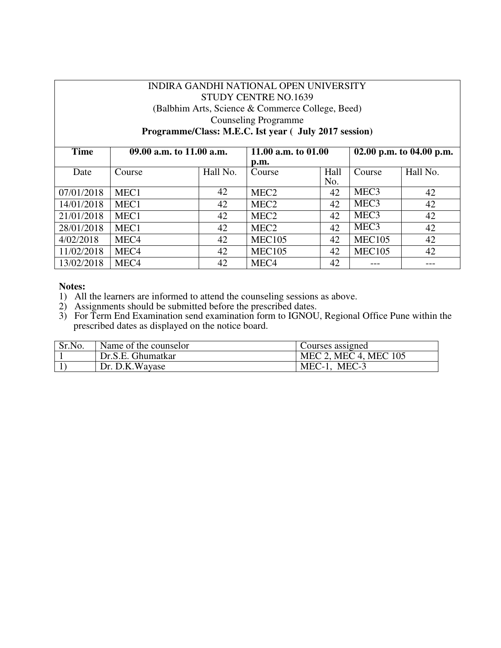# INDIRA GANDHI NATIONAL OPEN UNIVERSITY STUDY CENTRE NO.1639 (Balbhim Arts, Science & Commerce College, Beed) Counseling Programme **Programme/Class: M.E.C. Ist year ( July 2017 session)**

| <b>Time</b> | 09.00 a.m. to 11.00 a.m. |    | 11.00 a.m. to $01.00$               |             | 02.00 p.m. to 04.00 p.m. |          |
|-------------|--------------------------|----|-------------------------------------|-------------|--------------------------|----------|
| Date        | Hall No.<br>Course       |    | $\mathbf{D}.\mathbf{m}$ .<br>Course | Hall<br>No. |                          | Hall No. |
| 07/01/2018  | MEC1                     | 42 | MEC <sub>2</sub>                    | 42          | MEC <sub>3</sub>         | 42       |
| 14/01/2018  | MEC1                     | 42 | MEC <sub>2</sub>                    | 42          | MEC <sub>3</sub>         | 42       |
| 21/01/2018  | MEC1                     | 42 | MEC <sub>2</sub>                    | 42          | MEC <sub>3</sub>         | 42       |
| 28/01/2018  | MEC1                     | 42 | MEC <sub>2</sub>                    | 42          | MEC <sub>3</sub>         | 42       |
| 4/02/2018   | MEC <sub>4</sub>         | 42 | <b>MEC105</b>                       | 42          | <b>MEC105</b>            | 42       |
| 11/02/2018  | MEC <sub>4</sub>         | 42 | <b>MEC105</b>                       | 42          | <b>MEC105</b>            | 42       |
| 13/02/2018  | MEC <sub>4</sub>         | 42 | MEC <sub>4</sub>                    | 42          |                          |          |

- 1) All the learners are informed to attend the counseling sessions as above.
- 2) Assignments should be submitted before the prescribed dates.
- 3) For Term End Examination send examination form to IGNOU, Regional Office Pune within the prescribed dates as displayed on the notice board.

| Sr.No. | Name of the counselor | Courses assigned      |
|--------|-----------------------|-----------------------|
|        | Dr.S.E. Ghumatkar     | MEC 2, MEC 4, MEC 105 |
|        | Dr. D.K. Wayase       | $MEC-1$ , $MEC-3$     |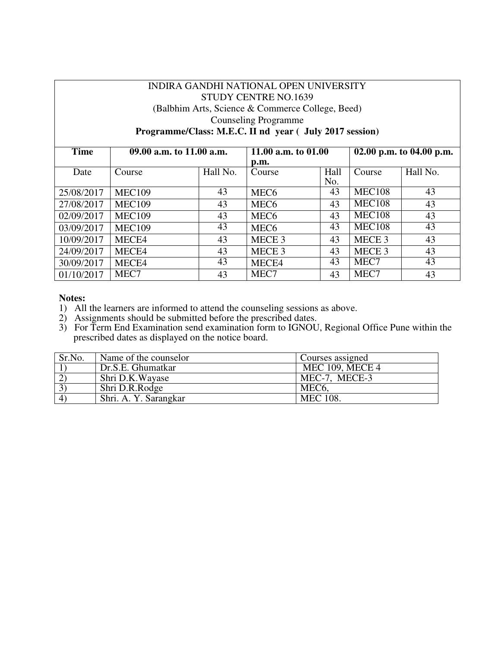# INDIRA GANDHI NATIONAL OPEN UNIVERSITY STUDY CENTRE NO.1639 (Balbhim Arts, Science & Commerce College, Beed) Counseling Programme **Programme/Class: M.E.C. II nd year ( July 2017 session)**

| <b>Time</b> | 09.00 a.m. to 11.00 a.m. |          | 11.00 a.m. to 01.00<br>p.m. |             | 02.00 p.m. to 04.00 p.m. |          |
|-------------|--------------------------|----------|-----------------------------|-------------|--------------------------|----------|
| Date        | Course                   | Hall No. | Course                      | Hall<br>No. | Course                   | Hall No. |
| 25/08/2017  | <b>MEC109</b>            | 43       | MEC <sub>6</sub>            | 43          | <b>MEC108</b>            | 43       |
| 27/08/2017  | <b>MEC109</b>            | 43       | MEC <sub>6</sub>            | 43          | <b>MEC108</b>            | 43       |
| 02/09/2017  | <b>MEC109</b>            | 43       | MEC <sub>6</sub>            | 43          | <b>MEC108</b>            | 43       |
| 03/09/2017  | <b>MEC109</b>            | 43       | MEC <sub>6</sub>            | 43          | <b>MEC108</b>            | 43       |
| 10/09/2017  | MECE4                    | 43       | MECE <sub>3</sub>           | 43          | MECE <sub>3</sub>        | 43       |
| 24/09/2017  | MECE4                    | 43       | MECE <sub>3</sub>           | 43          | MECE <sub>3</sub>        | 43       |
| 30/09/2017  | MECE4                    | 43       | MECE4                       | 43          | MEC7                     | 43       |
| 01/10/2017  | MEC7                     | 43       | MEC7                        | 43          | MEC7                     | 43       |

#### **Notes:**

1) All the learners are informed to attend the counseling sessions as above.

2) Assignments should be submitted before the prescribed dates.

| Sr.No.               | Name of the counselor | Courses assigned       |
|----------------------|-----------------------|------------------------|
|                      | Dr.S.E. Ghumatkar     | <b>MEC 109, MECE 4</b> |
|                      | Shri D.K.Wayase       | MEC-7, MECE-3          |
|                      | Shri D.R.Rodge        | MEC <sub>6</sub>       |
| $\mathbf{4}^{\circ}$ | Shri. A. Y. Sarangkar | <b>MEC</b> 108.        |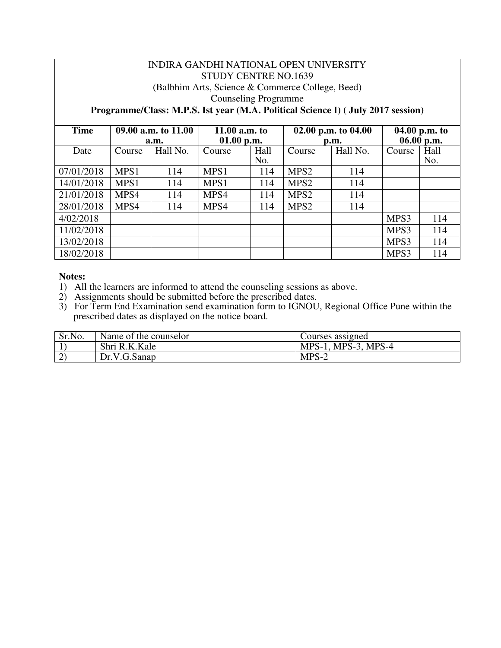# INDIRA GANDHI NATIONAL OPEN UNIVERSITY STUDY CENTRE NO.1639 (Balbhim Arts, Science & Commerce College, Beed) Counseling Programme

# **Programme/Class: M.P.S. Ist year (M.A. Political Science I) ( July 2017 session)**

| <b>Time</b> | 09.00 a.m. to 11.00 |          | 11.00 $a.m.$ to |      |                  | 02.00 p.m. to $04.00$ | 04.00 p.m. to |      |
|-------------|---------------------|----------|-----------------|------|------------------|-----------------------|---------------|------|
|             |                     | a.m.     | $01.00$ p.m.    |      | p.m.             |                       | 06.00 p.m.    |      |
| Date        | Course              | Hall No. | Course          | Hall | Course           | Hall No.              | Course        | Hall |
|             |                     |          |                 | No.  |                  |                       |               | No.  |
| 07/01/2018  | MPS1                | 114      | MPS1            | 114  | MPS <sub>2</sub> | 114                   |               |      |
| 14/01/2018  | MPS1                | 114      | MPS1            | 114  | MPS <sub>2</sub> | 114                   |               |      |
| 21/01/2018  | MPS4                | 114      | MPS4            | 114  | MPS <sub>2</sub> | 114                   |               |      |
| 28/01/2018  | MPS4                | 114      | MPS4            | 114  | MPS <sub>2</sub> | 114                   |               |      |
| 4/02/2018   |                     |          |                 |      |                  |                       | MPS3          | 114  |
| 11/02/2018  |                     |          |                 |      |                  |                       | MPS3          | 114  |
| 13/02/2018  |                     |          |                 |      |                  |                       | MPS3          | 114  |
| 18/02/2018  |                     |          |                 |      |                  |                       | MPS3          | 114  |

- 1) All the learners are informed to attend the counseling sessions as above.
- 2) Assignments should be submitted before the prescribed dates.
- 3) For Term End Examination send examination form to IGNOU, Regional Office Pune within the prescribed dates as displayed on the notice board.

| Sr.No. | Name of the counselor | Courses assigned    |
|--------|-----------------------|---------------------|
|        | Shri R.K.Kale         | MPS-1, MPS-3, MPS-4 |
| ∼      | Dr.V.G.Sanap          | $MPS-2$             |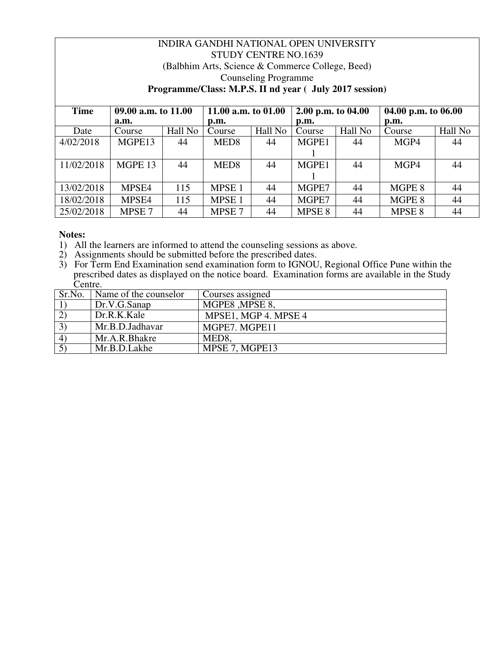#### INDIRA GANDHI NATIONAL OPEN UNIVERSITY STUDY CENTRE NO.1639 (Balbhim Arts, Science & Commerce College, Beed) Counseling Programme **Programme/Class: M.P.S. II nd year ( July 2017 session) Time 09.00 a.m. to 11.00**  a.m.<br>Course **11.00 a.m. to 01.00 p.m. 2.00 p.m. to 04.00**  p.m.<br>Course **04.00 p.m. to 06.00**  p.m.<br>Course Date | Course | Hall No | Course | Hall No | Course | Hall No | Course | Hall No 4/02/2018 MGPE13 44 MED8 44 MGPE1  $\frac{1}{\text{MGPE1}}$ 44 MGP4 44 11/02/2018 | MGPE 13 | 44 | MED8 | 44 1 44 MGP4 44 13/02/2018 | MPSE4 | 115 | MPSE 1 | 44 | MGPE7 | 44 | MGPE 8 | 44 18/02/2018 | MPSE4 | 115 | MPSE 1 | 44 | MGPE7 | 44 | MGPE 8 | 44 25/02/2018 MPSE 7 44 MPSE 7 44 MPSE 8 44 MPSE 8 44

- 1) All the learners are informed to attend the counseling sessions as above.
- 2) Assignments should be submitted before the prescribed dates.
- 3) For Term End Examination send examination form to IGNOU, Regional Office Pune within the prescribed dates as displayed on the notice board. Examination forms are available in the Study Centre.

| Sr.No.         | Name of the counselor | Courses assigned                   |
|----------------|-----------------------|------------------------------------|
|                | Dr.V.G.Sanap          | MGPE8, MPSE 8,                     |
| $2^{\circ}$    | Dr.R.K.Kale           | MPSE1, MGP 4. MPSE 4               |
| 3)             | Mr.B.D.Jadhavar       | MGPE7. MGPE11                      |
| $\overline{4}$ | Mr.A.R.Bhakre         | MED <sub>8</sub>                   |
|                | Mr.B.D.Lakhe          | $\overline{\text{MPSE}}$ 7, MGPE13 |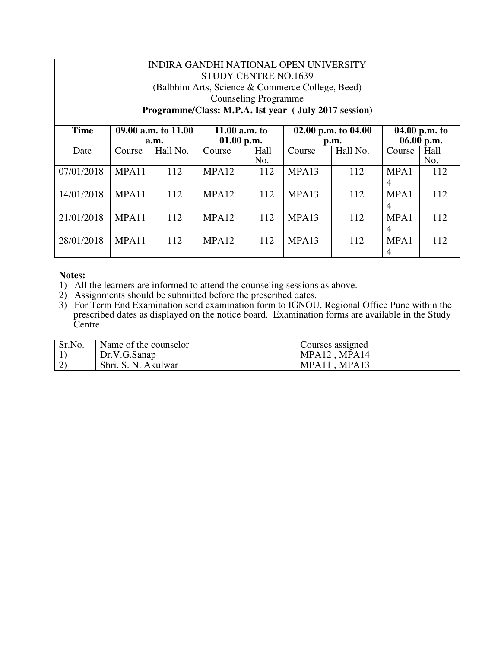# INDIRA GANDHI NATIONAL OPEN UNIVERSITY STUDY CENTRE NO.1639 (Balbhim Arts, Science & Commerce College, Beed) Counseling Programme **Programme/Class: M.P.A. Ist year ( July 2017 session)**

| <b>Time</b> | 09.00 a.m. to 11.00 |          | 11.00 $a.m.$ to   |      |                           | 02.00 p.m. to $04.00$ | 04.00 p.m. to  |      |
|-------------|---------------------|----------|-------------------|------|---------------------------|-----------------------|----------------|------|
|             |                     | a.m.     | 01.00 p.m.        |      | $\mathbf{D}.\mathbf{m}$ . |                       | 06.00 p.m.     |      |
| Date        | Course              | Hall No. | Course            | Hall | Course                    | Hall No.              | Course         | Hall |
|             |                     |          |                   | No.  |                           |                       |                | No.  |
| 07/01/2018  | MPA11               | 112      | MPA12             | 112  | MPA13                     | 112                   | MPA1           | 112  |
|             |                     |          |                   |      |                           |                       | $\overline{4}$ |      |
| 14/01/2018  | MPA11               | 112      | MPA12             | 112  | MPA13                     | 112                   | MPA1           | 112  |
|             |                     |          |                   |      |                           |                       | $\overline{4}$ |      |
| 21/01/2018  | MPA11               | 112      | MPA12             | 112  | MPA13                     | 112                   | MPA1           | 112  |
|             |                     |          |                   |      |                           |                       | 4              |      |
| 28/01/2018  | MPA11               | 112      | MPA <sub>12</sub> | 112  | MPA <sub>13</sub>         | 112                   | MPA1           | 112  |
|             |                     |          |                   |      |                           |                       | $\overline{4}$ |      |

- 1) All the learners are informed to attend the counseling sessions as above.
- 2) Assignments should be submitted before the prescribed dates.
- 3) For Term End Examination send examination form to IGNOU, Regional Office Pune within the prescribed dates as displayed on the notice board. Examination forms are available in the Study Centre.

| Sr.No. | Name of the counselor  | Courses assigned           |
|--------|------------------------|----------------------------|
|        | Dr.V.G.Sanap           | MPA14<br>MPA <sub>12</sub> |
| ∼      | Shri. S. N.<br>Akulwar | MPA11<br>MPA1?             |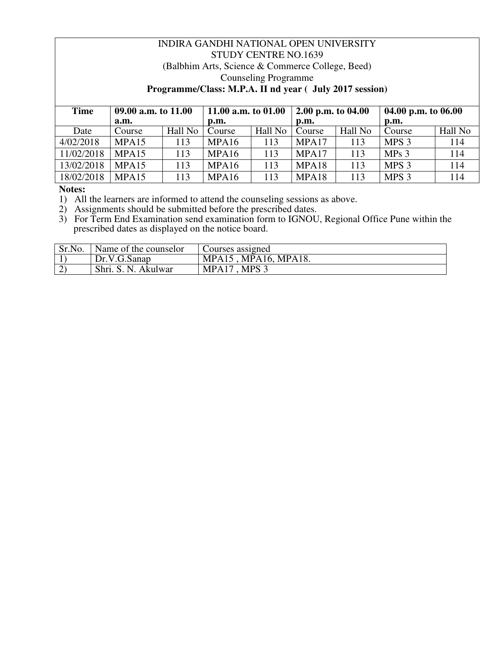# INDIRA GANDHI NATIONAL OPEN UNIVERSITY STUDY CENTRE NO.1639 (Balbhim Arts, Science & Commerce College, Beed) Counseling Programme **Programme/Class: M.P.A. II nd year ( July 2017 session)**

| Time       | 09.00 a.m. to 11.00 |         | 11.00 a.m. to 01.00 |         | 2.00 p.m. to $04.00$ |         | 04.00 p.m. to $06.00$ |         |
|------------|---------------------|---------|---------------------|---------|----------------------|---------|-----------------------|---------|
|            | a.m.                |         | p.m.                |         | p.m.                 |         | p.m.                  |         |
| Date       | Course              | Hall No | Course              | Hall No | Course               | Hall No | Course                | Hall No |
| 4/02/2018  | MPA15               | 113     | MPA <sub>16</sub>   | 113     | MPA17                | 113     | MPS <sub>3</sub>      | 114     |
| 11/02/2018 | MPA15               | 113     | MPA16               | 113     | MPA17                | 113     | MPs <sub>3</sub>      | 114     |
| 13/02/2018 | MPA15               | 113     | MPA <sub>16</sub>   | 113     | MPA18                | 113     | MPS <sub>3</sub>      | 114     |
| 18/02/2018 | MPA15               | 113     | MPA <sub>16</sub>   | 113     | MPA18                | 113     | MPS <sub>3</sub>      | 114     |

**Notes:** 

1) All the learners are informed to attend the counseling sessions as above.

2) Assignments should be submitted before the prescribed dates.

| Sr.No. | Name of the counselor  | Courses assigned                    |
|--------|------------------------|-------------------------------------|
|        | Dr.V.G.Sanap           | <b>MPA18.</b><br>$MPA16$ ,<br>MPA15 |
| $\sim$ | Shri. S. N.<br>Akulwar | <b>MPS</b><br>MPA17                 |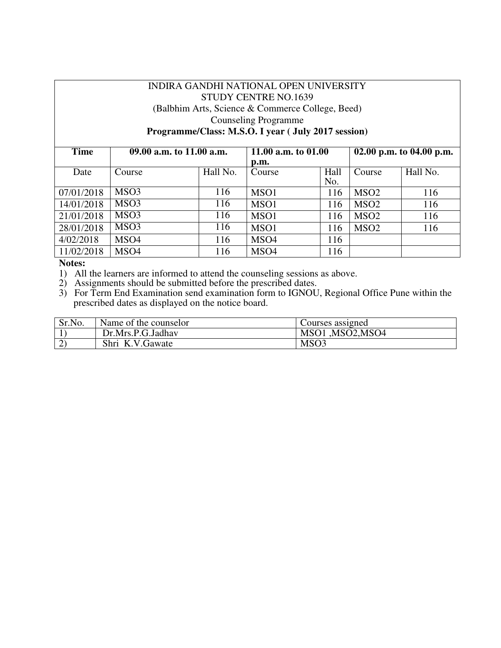# INDIRA GANDHI NATIONAL OPEN UNIVERSITY STUDY CENTRE NO.1639 (Balbhim Arts, Science & Commerce College, Beed) Counseling Programme **Programme/Class: M.S.O. I year ( July 2017 session)**

| <b>Time</b> | 09.00 a.m. to 11.00 a.m. |          | 11.00 a.m. to $01.00$ |             | 02.00 p.m. to 04.00 p.m. |          |
|-------------|--------------------------|----------|-----------------------|-------------|--------------------------|----------|
| Date        | Course                   | Hall No. | p.m.<br>Course        | Hall<br>No. | Course                   | Hall No. |
| 07/01/2018  | MSO <sub>3</sub>         | 116      | MSO1                  | 116         | MSO <sub>2</sub>         | 116      |
| 14/01/2018  | MSO <sub>3</sub>         | 116      | MSO1                  | 116         | MSO <sub>2</sub>         | 116      |
| 21/01/2018  | MSO <sub>3</sub>         | 116      | MSO1                  | 116         | MSO <sub>2</sub>         | 116      |
| 28/01/2018  | MSO <sub>3</sub>         | 116      | MSO1                  | 116         | MSO <sub>2</sub>         | 116      |
| 4/02/2018   | MSO <sub>4</sub>         | 116      | MSO <sub>4</sub>      | 116         |                          |          |
| 11/02/2018  | MSO <sub>4</sub>         | 116      | MSO <sub>4</sub>      | 116         |                          |          |

**Notes:** 

1) All the learners are informed to attend the counseling sessions as above.

2) Assignments should be submitted before the prescribed dates.

| Sr.No. | Name of the counselor | Courses assigned |
|--------|-----------------------|------------------|
|        | Dr.Mrs.P.G.Jadhav     | MSO1 ,MSO2,MSO4  |
|        | Shri K.V.Gawate       | MSO <sub>3</sub> |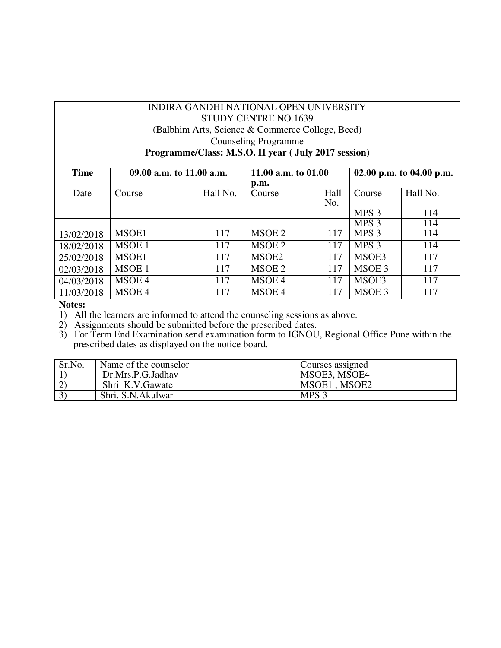# INDIRA GANDHI NATIONAL OPEN UNIVERSITY STUDY CENTRE NO.1639 (Balbhim Arts, Science & Commerce College, Beed) Counseling Programme **Programme/Class: M.S.O. II year ( July 2017 session)**

| <b>Time</b> | 09.00 a.m. to 11.00 a.m. |          | 11.00 a.m. to 01.00 |      | 02.00 p.m. to 04.00 p.m. |          |
|-------------|--------------------------|----------|---------------------|------|--------------------------|----------|
|             |                          |          | p.m.                |      |                          |          |
| Date        | Course                   | Hall No. | Course              | Hall | Course                   | Hall No. |
|             |                          |          |                     | No.  |                          |          |
|             |                          |          |                     |      | MPS <sub>3</sub>         | 114      |
|             |                          |          |                     |      | MPS <sub>3</sub>         | 114      |
| 13/02/2018  | MSOE1                    | 117      | MSOE 2              | 117  | MPS 3                    | 114      |
| 18/02/2018  | MSOE 1                   | 117      | MSOE 2              | 117  | MPS <sub>3</sub>         | 114      |
| 25/02/2018  | MSOE1                    | 117      | MSOE2               | 117  | MSOE3                    | 117      |
| 02/03/2018  | MSOE 1                   | 117      | MSOE 2              | 117  | MSOE 3                   | 117      |
| 04/03/2018  | MSOE 4                   | 117      | MSOE 4              | 117  | MSOE3                    | 117      |
| 11/03/2018  | MSOE 4                   | 117      | MSOE 4              | 117  | MSOE 3                   | 117      |

**Notes:** 

1) All the learners are informed to attend the counseling sessions as above.

2) Assignments should be submitted before the prescribed dates.

| Sr.No. | Name of the counselor | Courses assigned |
|--------|-----------------------|------------------|
|        | Dr.Mrs.P.G.Jadhav     | MSOE3, MSOE4     |
|        | Shri K.V.Gawate       | MSOE1, MSOE2     |
|        | Shri. S.N.Akulwar     | MPS <sub>3</sub> |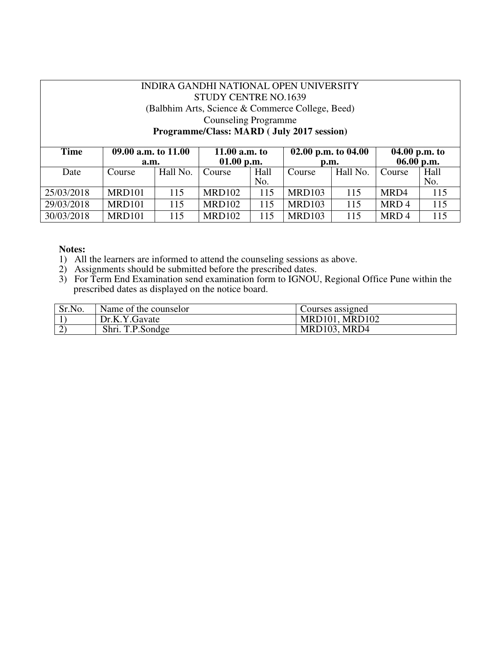#### INDIRA GANDHI NATIONAL OPEN UNIVERSITY STUDY CENTRE NO.1639 (Balbhim Arts, Science & Commerce College, Beed) Counseling Programme **Programme/Class: MARD ( July 2017 session) Time 09.00 a.m. to 11.00 a.m. 11.00 a.m. to 01.00 p.m.**<br>Course | Hall **02.00 p.m. to 04.00 p.m. 04.00 p.m. to 06.00 p.m.**<br>Course | Hall Date Course Hall No. No. Course Hall No. No. 25/03/2018 | MRD101 | 115 | MRD102 | 115 | MRD103 | 115 | MRD4 | 115

29/03/2018 | MRD101 | 115 | MRD102 | 115 | MRD103 | 115 | MRD 4 | 115 30/03/2018 MRD101 115 MRD102 115 MRD103 115 MRD 4 115

- 1) All the learners are informed to attend the counseling sessions as above.
- 2) Assignments should be submitted before the prescribed dates.
- 3) For Term End Examination send examination form to IGNOU, Regional Office Pune within the prescribed dates as displayed on the notice board.

| Sr.No. | Name of the counselor | Courses assigned      |
|--------|-----------------------|-----------------------|
|        | Dr.K.Y.Gavate         | <b>MRD101, MRD102</b> |
|        | Shri. T.P.Sondge      | MRD103, MRD4          |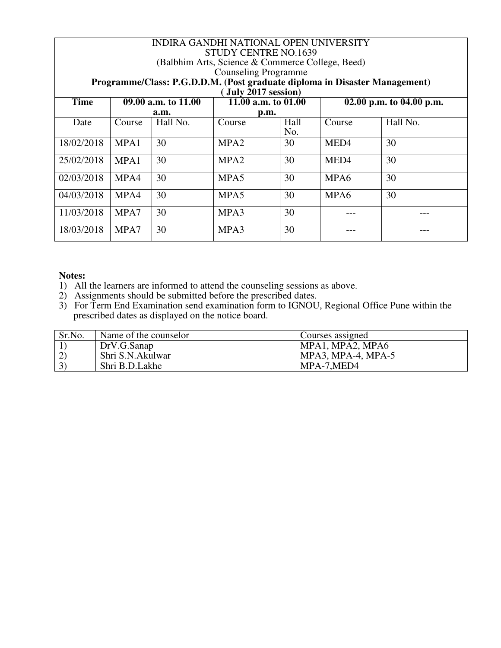| INDIRA GANDHI NATIONAL OPEN UNIVERSITY<br><b>STUDY CENTRE NO.1639</b><br>(Balbhim Arts, Science & Commerce College, Beed)<br><b>Counseling Programme</b><br>Programme/Class: P.G.D.D.M. (Post graduate diploma in Disaster Management)<br>July $2017$ session) |        |                     |                     |             |                  |                          |
|----------------------------------------------------------------------------------------------------------------------------------------------------------------------------------------------------------------------------------------------------------------|--------|---------------------|---------------------|-------------|------------------|--------------------------|
| <b>Time</b>                                                                                                                                                                                                                                                    |        | 09.00 a.m. to 11.00 | 11.00 a.m. to 01.00 |             |                  | 02.00 p.m. to 04.00 p.m. |
|                                                                                                                                                                                                                                                                |        | a.m.                | p.m.                |             |                  |                          |
| Date                                                                                                                                                                                                                                                           | Course | Hall No.            | Course              | Hall<br>No. | Course           | Hall No.                 |
| 18/02/2018                                                                                                                                                                                                                                                     | MPA1   | 30                  | MPA <sub>2</sub>    | 30          | MED <sub>4</sub> | 30                       |
| 25/02/2018                                                                                                                                                                                                                                                     | MPA1   | 30                  | MPA <sub>2</sub>    | 30          | MED <sub>4</sub> | 30                       |
| 02/03/2018                                                                                                                                                                                                                                                     | MPA4   | 30                  | MPA <sub>5</sub>    | 30          | MPA6             | 30                       |
| 04/03/2018                                                                                                                                                                                                                                                     | MPA4   | 30                  | MPA <sub>5</sub>    | 30          | MPA6             | 30                       |
| 11/03/2018                                                                                                                                                                                                                                                     | MPA7   | 30                  | MPA3                | 30          |                  |                          |
| 18/03/2018                                                                                                                                                                                                                                                     | MPA7   | 30                  | MPA3                | 30          |                  |                          |

- 1) All the learners are informed to attend the counseling sessions as above.
- 2) Assignments should be submitted before the prescribed dates.
- 3) For Term End Examination send examination form to IGNOU, Regional Office Pune within the prescribed dates as displayed on the notice board.

| Sr.No.      | Name of the counselor | Courses assigned      |
|-------------|-----------------------|-----------------------|
|             | DrV.G.Sanap           | MPA1, MPA2, MPA6      |
|             | Shri S.N.Akulwar      | $MPA3$ , MPA-4, MPA-5 |
| $3^{\circ}$ | Shri B.D.Lakhe        | MPA-7,MED4            |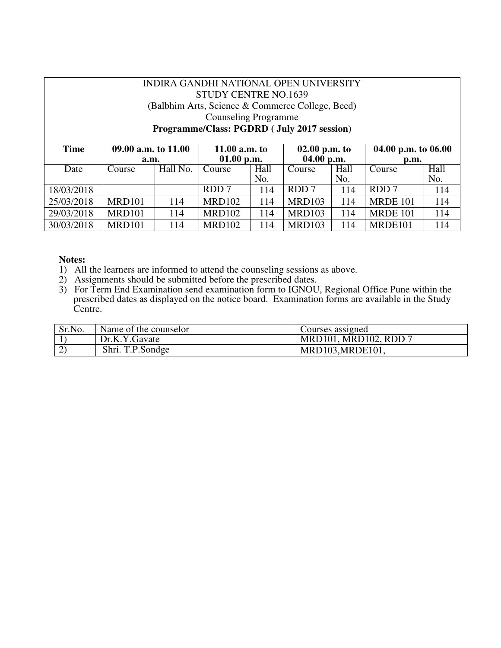| INDIRA GANDHI NATIONAL OPEN UNIVERSITY |                      |          |                                                  |      |                 |      |                           |      |
|----------------------------------------|----------------------|----------|--------------------------------------------------|------|-----------------|------|---------------------------|------|
| <b>STUDY CENTRE NO.1639</b>            |                      |          |                                                  |      |                 |      |                           |      |
|                                        |                      |          | (Balbhim Arts, Science & Commerce College, Beed) |      |                 |      |                           |      |
|                                        | Counseling Programme |          |                                                  |      |                 |      |                           |      |
|                                        |                      |          | Programme/Class: PGDRD (July 2017 session)       |      |                 |      |                           |      |
|                                        |                      |          |                                                  |      |                 |      |                           |      |
| <b>Time</b>                            | 09.00 a.m. to 11.00  |          | 11.00 $a.m.$ to                                  |      | $02.00$ p.m. to |      | 04.00 p.m. to $06.00$     |      |
|                                        |                      |          | 01.00 p.m.                                       |      | $04.00$ p.m.    |      | $\mathbf{p}.\mathbf{m}$ . |      |
|                                        | a.m.                 |          |                                                  |      |                 |      |                           |      |
| Date                                   | Course               | Hall No. | Course                                           | Hall | Course          | Hall | Course                    | Hall |
|                                        |                      |          |                                                  | No.  |                 | No.  |                           | No.  |
| 18/03/2018                             |                      |          | RDD 7                                            | 114  | RDD 7           | 114  | RDD 7                     | 114  |
| 25/03/2018                             | MRD <sub>101</sub>   | 114      | <b>MRD102</b>                                    | 114  | MRD103          | 114  | <b>MRDE 101</b>           | 114  |
| 29/03/2018                             | <b>MRD101</b>        | 114      | <b>MRD102</b>                                    | 114  | MRD103          | 114  | <b>MRDE 101</b>           | 114  |

- 1) All the learners are informed to attend the counseling sessions as above.
- 2) Assignments should be submitted before the prescribed dates.
- 3) For Term End Examination send examination form to IGNOU, Regional Office Pune within the prescribed dates as displayed on the notice board. Examination forms are available in the Study Centre.

| Sr.No. | Name of the counselor | Courses assigned      |
|--------|-----------------------|-----------------------|
|        | Dr.K.Y.Gavate         | MRD101, MRD102, RDD 7 |
|        | Shri. T.P.Sondge      | MRD103, MRDE101,      |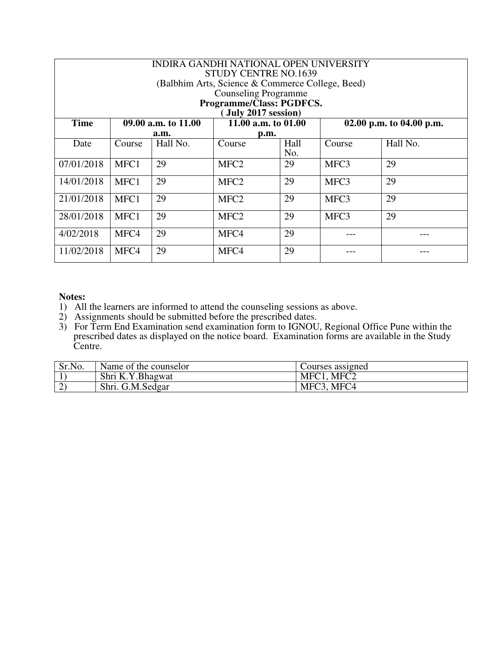| INDIRA GANDHI NATIONAL OPEN UNIVERSITY<br><b>STUDY CENTRE NO.1639</b><br>(Balbhim Arts, Science & Commerce College, Beed)<br><b>Counseling Programme</b><br>Programme/Class: PGDFCS. |        |                     |                       |             |        |                          |
|--------------------------------------------------------------------------------------------------------------------------------------------------------------------------------------|--------|---------------------|-----------------------|-------------|--------|--------------------------|
|                                                                                                                                                                                      |        |                     | [July 2017 session)   |             |        |                          |
| <b>Time</b>                                                                                                                                                                          |        | 09.00 a.m. to 11.00 | 11.00 a.m. to $01.00$ |             |        | 02.00 p.m. to 04.00 p.m. |
|                                                                                                                                                                                      |        | a.m.                | p.m.                  |             |        |                          |
| Date                                                                                                                                                                                 | Course | Hall No.            | Course                | Hall<br>No. | Course | Hall No.                 |
| 07/01/2018                                                                                                                                                                           | MFC1   | 29                  | MFC <sub>2</sub>      | 29          | MFC3   | 29                       |
| 14/01/2018                                                                                                                                                                           | MFC1   | 29                  | MFC <sub>2</sub>      | 29          | MFC3   | 29                       |
| 21/01/2018                                                                                                                                                                           | MFC1   | 29                  | MFC <sub>2</sub>      | 29          | MFC3   | 29                       |
| 28/01/2018                                                                                                                                                                           | MFC1   | 29                  | MFC <sub>2</sub>      | 29          | MFC3   | 29                       |
| 4/02/2018                                                                                                                                                                            | MFC4   | 29                  | MFC4                  | 29          |        |                          |
| 11/02/2018                                                                                                                                                                           | MFC4   | 29                  | MFC4                  | 29          |        |                          |

- 1) All the learners are informed to attend the counseling sessions as above.
- 2) Assignments should be submitted before the prescribed dates.
- 3) For Term End Examination send examination form to IGNOU, Regional Office Pune within the prescribed dates as displayed on the notice board. Examination forms are available in the Study Centre.

| Sr.No. | Name of the counselor | Courses assigned         |
|--------|-----------------------|--------------------------|
|        | Shri K.Y.Bhagwat      | MFC <sub>2</sub><br>MFC1 |
|        | Shri. G.M.Sedgar      | MFC3, MFC4               |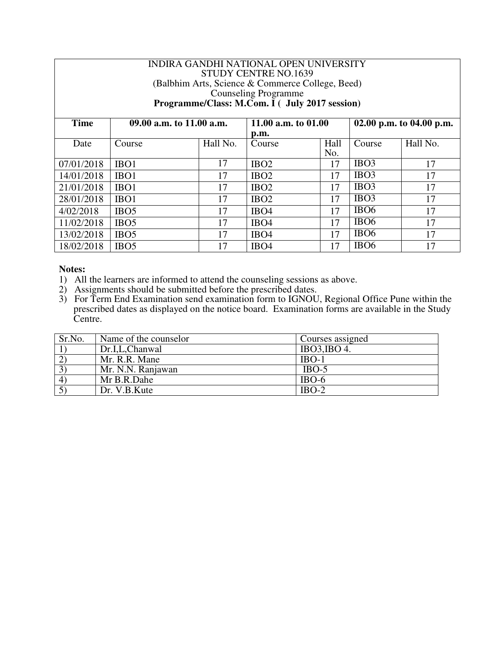| INDIRA GANDHI NATIONAL OPEN UNIVERSITY<br>STUDY CENTRE NO.1639<br>(Balbhim Arts, Science & Commerce College, Beed)<br><b>Counseling Programme</b><br>Programme/Class: M.Com. I ( July 2017 session) |                          |          |                               |             |                          |          |
|-----------------------------------------------------------------------------------------------------------------------------------------------------------------------------------------------------|--------------------------|----------|-------------------------------|-------------|--------------------------|----------|
| <b>Time</b>                                                                                                                                                                                         | 09.00 a.m. to 11.00 a.m. |          | 11.00 a.m. to $01.00$<br>p.m. |             | 02.00 p.m. to 04.00 p.m. |          |
| Date                                                                                                                                                                                                | Course                   | Hall No. | Course                        | Hall<br>No. | Course                   | Hall No. |
| 07/01/2018                                                                                                                                                                                          | IBO1                     | 17       | IBO <sub>2</sub>              | 17          | IBO <sub>3</sub>         | 17       |
| 14/01/2018                                                                                                                                                                                          | IBO <sub>1</sub>         | 17       | IBO <sub>2</sub>              | 17          | IBO <sub>3</sub>         | 17       |
| 21/01/2018                                                                                                                                                                                          | IBO <sub>1</sub>         | 17       | IBO <sub>2</sub>              | 17          | IBO <sub>3</sub>         | 17       |
| 28/01/2018                                                                                                                                                                                          | IBO <sub>1</sub>         | 17       | IBO <sub>2</sub>              | 17          | IBO <sub>3</sub>         | 17       |
| 4/02/2018                                                                                                                                                                                           | IBO <sub>5</sub>         | 17       | IBO <sub>4</sub>              | 17          | IBO <sub>6</sub>         | 17       |
| 11/02/2018                                                                                                                                                                                          | IBO <sub>5</sub>         | 17       | IBO <sub>4</sub>              | 17          | IBO <sub>6</sub>         | 17       |
| 13/02/2018                                                                                                                                                                                          | IBO <sub>5</sub>         | 17       | IBO <sub>4</sub>              | 17          | IBO <sub>6</sub>         | 17       |
| 18/02/2018                                                                                                                                                                                          | IBO <sub>5</sub>         | 17       | IBO <sub>4</sub>              | 17          | IBO <sub>6</sub>         | 17       |

- 1) All the learners are informed to attend the counseling sessions as above.
- 2) Assignments should be submitted before the prescribed dates.
- 3) For Term End Examination send examination form to IGNOU, Regional Office Pune within the prescribed dates as displayed on the notice board. Examination forms are available in the Study Centre.

| Sr.No.                 | Name of the counselor | Courses assigned |
|------------------------|-----------------------|------------------|
|                        | Dr.I.L.Chanwal        | IBO3,IBO4.       |
|                        | Mr. R.R. Mane         | $IBO-1$          |
| $\mathfrak{Z}^{\circ}$ | Mr. N.N. Ranjawan     | $IBO-5$          |
| $\overline{4}$         | Mr B.R.Dahe           | $IBO-6$          |
|                        | Dr. V.B.Kute          | $IBO-2$          |